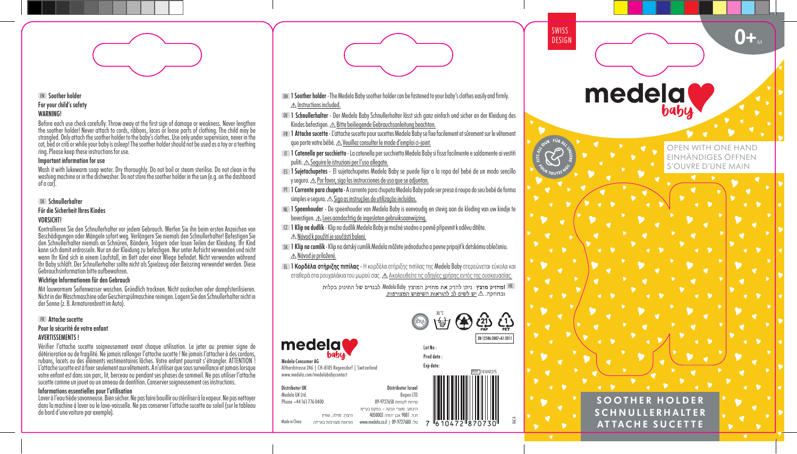# EN Soother holder For your child's safety **WARNING!**

Before each use check carefully. Throw away at the first sign of damage or weakness. Never lengthen the soother holder! Never attach to cords, ribbons, laces or loose parts of clothing. The child may be strangled. Only attach the soother holder to the baby's clothes. Use only under supervision, never in the cot, bed or crib or while your baby is asleep! The soother holder should not be used as a toy or a teething ring. Please keep these instructions for use.

## Important information for use

Wash it with lukewarm soap water. Dry thoroughly. Do not boil or steam sterilise. Do not clean in the washing machine or in the dishwasher. Do not store the soother holder in the sun (e.g. on the dashboard of a car).

# DE Schnullerhalter

#### Für die Sicherheit Ihres Kindes VORSICHT!

Kontrollieren Sie den Schnullerhalter vor jedem Gebrauch. Werfen Sie ihn beim ersten Anzeichen von Beschädigungen oder Mängeln sofort weg. Verlängern Sie niemals den Schnullerhalter! Befestigen Sie<br>den Schnullerhalter niemals an Schnüren, Bändern, Trägern oder losen Teilen der Kleidung. Ihr Kind kann sich damit erdrosseln. Nur an der Kleidung zu befestigen. Nur unter Aufsicht verwenden und nicht<br>wenn Ihr Kind sich in einem Laufstall, im Bett oder einer Wiege befindet. Nicht verwenden während Ihr Baby schläft. Der Schnullerhalter sollte nicht als Spielzeug oder Beissring verwendet werden. Diese Gebrauchsinformation bitte aufbewahren.

#### Wichtige Informationen für den Gebrauch

Mit lauwarmem Seifenwasser waschen. Gründlich trocknen. Nicht auskochen oder dampfsterilisieren. Nicht in der Waschmaschine oder Geschirrspülmaschine reinigen. Lagern Sie den Schnullerhalter nicht in der Sonne (z. B. Armaturenbrett im Auto).

# FR Attache sucette

# Pour la sécurité de votre enfant

# AVERTISSEMENTS !

Vérifier l'attache sucette soigneusement avant chaque utilisation. Le jeter au premier signe de détérioration ou de fragilité. Ne jamais rallonger l'attache sucette ! Ne jamais I'attacher à des cordons, rubans, lacets ou des éléments vestimentaires lâches. Votre enfant pourrait s'étrangler. ATTENTION ! L'attache sucette est à fixer seulement aux vêtements. A n'utiliser aue sous surveillance et jamais lorsque votre enfant est dans son parc, lit, berceau ou pendant ses phases de sommeil. Ne pas utiliser l'attache sucette comme un jouet ou un anneau de dentition. Conserver soigneusement ces instructions.

#### Informations essentielles pour l'utilisation

Laver à l'eau tiède savonneuse. Bien sécher. Ne pas faire bouillir ou stériliser à la vapeur. Ne pas nettoyer dans la machine à laver ou le lave-vaisselle. Ne pas conserver l'attache sucette au soleil (sur le tableau de bord d'une voiture par exemple).

- EN 1Soother holder · The Medela Baby soother holder can be fastened to your baby's clothes easily and firmly.  $\triangle$  Instructions included.
- DE 1 Schnullerhalter · Der Medela Baby Schnullerhalter lässt sich ganz einfach und sicher an der Kleidung des Kindes befestigen.  $\triangle$  Bitte beiliegende Gebrauchsanleitung beachten.
- FR 1 Attache sucette · L'attache sucette pour sucettes Medela Baby se fixe facilement et sûrement sur le vêtement que porte votre bébé. Veuillez consulter le mode d'emploi ci-joint.
- IT 1 Catenella per succhietto · La catenella per succhietto Medela Baby si fissa facilmente e saldamente ai vestiti puliti.  $\triangle$  Sequire le istruzioni per l'uso allegate.
- ES 1Sujetachupetes · El sujetachupetes Medela Baby se puede fijar a la ropa del bebé de un modo sencillo y seguro. Por favor, siga las instrucciones de uso que se adjuntan.
- PT 1 Corrente para chupeta · A corrente para chupeta Medela Baby pode ser presa à roupa do seu bebé de forma simples e segura. As Siga as instruções de utilização incluídas.
- NL 1Speenhouder · De speenhouder van Medela Baby is eenvoudig en stevig aan de kleding van uw kindje te bevestigen. Lees aandachtig de ingesloten gebruiksaanwijzing.
- CZ 1 Klip na dudlík · Klip na dudlík Medela Baby je možné snadno a pevně připevnit k oděvu dítěte. Návod k použití je součástí balení.

Made in China

Distributor UK Medela UK Ltd. Phone +44 161 776 0400

Medela Consumer AG

medela

Althardstrasse 246 | CH-8105 Regensdorf | Switzerland www.medela.com/medelababycontact

היצרן: מדלה, שוויץ

- SK 1 Klip na cumlík· Klip na detský cumlík Medela môžete jednoducho a pevne pripojiť k detskému oblečeniu. Návod je priložený.
- EL 1Κορδέλα στήριξης πιπίλας · Η κορδέλα στήριξης πιπίλας της Medela Baby στερεώνεται εύκολα και σταθερά στα ρουχαλάκια του μωρού σας. Ακολουθείτε τις οδηγίες χρήσης εντός της συσκευασίας.

Medela Baby HE





06CA